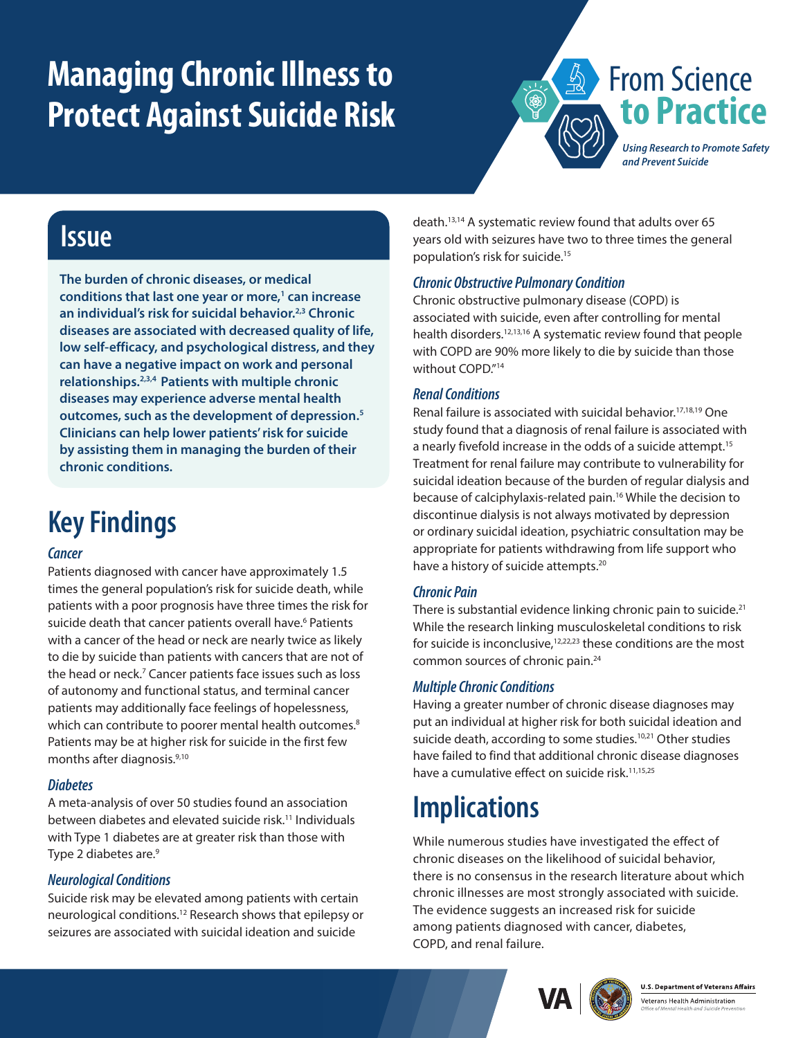# **Managing Chronic Illness to Protect Against Suicide Risk**



### **Issue**

**The burden of chronic diseases, or medical conditions that last one year or more[,1](#page-1-0) can increase an individual's risk for suicidal behavior[.2](#page-1-1),[3](#page-1-2) Chronic diseases are associated with decreased quality of life, low self-efficacy, and psychological distress, and they can have a negative impact on work and personal relationships.[2](#page-1-1)[,3,](#page-1-2)[4](#page-1-3) Patients with multiple chronic diseases may experience adverse mental health outcomes, such as the development of depression[.5](#page-1-4) Clinicians can help lower patients' risk for suicide by assisting them in managing the burden of their chronic conditions.**

## **Key Findings**

#### *Cancer*

Patients diagnosed with cancer have approximately 1.5 times the general population's risk for suicide death, while patients with a poor prognosis have three times the risk for suicide death that cancer patients overall have.<sup>6</sup> Patients with a cancer of the head or neck are nearly twice as likely to die by suicide than patients with cancers that are not of the head or neck.<sup>7</sup> Cancer patients face issues such as loss of autonomy and functional status, and terminal cancer patients may additionally face feelings of hopelessness, which can contribute to poorer mental health outcomes.<sup>[8](#page-1-7)</sup> Patients may be at higher risk for suicide in the first few months after diagnosis.[9,](#page-1-8)[10](#page-1-9)

#### *Diabetes*

A meta-analysis of over 50 studies found an association between diabetes and elevated suicide risk.<sup>11</sup> Individuals with Type 1 diabetes are at greater risk than those with Type 2 diabetes are.<sup>[9](#page-1-8)</sup>

#### *Neurological Conditions*

Suicide risk may be elevated among patients with certain neurological conditions.[12](#page-1-11) Research shows that epilepsy or seizures are associated with suicidal ideation and suicide

death[.13](#page-1-12)[,14](#page-1-13) A systematic review found that adults over 65 years old with seizures have two to three times the general population's risk for suicide.[15](#page-1-14)

#### *Chronic Obstructive Pulmonary Condition*

Chronic obstructive pulmonary disease (COPD) is associated with suicide, even after controlling for mental health disorders[.12](#page-1-11)[,13](#page-1-12)[,16](#page-1-15) A systematic review found that people with COPD are 90% more likely to die by suicide than those without COPD."<sup>[14](#page-1-13)</sup>

#### *Renal Conditions*

Renal failure is associated with suicidal behavior[.17](#page-1-16),[18,](#page-1-17)[19](#page-1-18) One study found that a diagnosis of renal failure is associated with a nearly fivefold increase in the odds of a suicide attempt.<sup>15</sup> Treatment for renal failure may contribute to vulnerability for suicidal ideation because of the burden of regular dialysis and because of calciphylaxis-related pain.<sup>16</sup> While the decision to discontinue dialysis is not always motivated by depression or ordinary suicidal ideation, psychiatric consultation may be appropriate for patients withdrawing from life support who have a history of suicide attempts.<sup>[20](#page-1-19)</sup>

#### *Chronic Pain*

There is substantial evidence linking chronic pain to suicide.<sup>21</sup> While the research linking musculoskeletal conditions to risk for suicide is inconclusive,<sup>12[,22](#page-1-21)[,23](#page-1-22)</sup> these conditions are the most common sources of chronic pain.[24](#page-1-23)

#### *Multiple Chronic Conditions*

Having a greater number of chronic disease diagnoses may put an individual at higher risk for both suicidal ideation and suicide death, according to some studies.<sup>[10,](#page-1-9)21</sup> Other studies have failed to find that additional chronic disease diagnoses have a cumulative effect on suicide risk.<sup>11[,15](#page-1-14),[25](#page-1-24)</sup>

### **Implications**

While numerous studies have investigated the effect of chronic diseases on the likelihood of suicidal behavior, there is no consensus in the research literature about which chronic illnesses are most strongly associated with suicide. The evidence suggests an increased risk for suicide among patients diagnosed with cancer, diabetes, COPD, and renal failure.